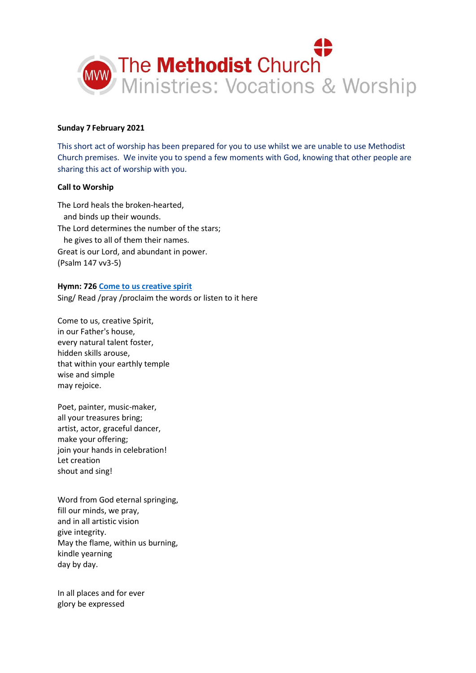

### **Sunday 7 February 2021**

This short act of worship has been prepared for you to use whilst we are unable to use Methodist Church premises. We invite you to spend a few moments with God, knowing that other people are sharing this act of worship with you.

### **Call to Worship**

The Lord heals the broken-hearted, and binds up their wounds. The Lord determines the number of the stars; he gives to all of them their names. Great is our Lord, and abundant in power. (Psalm 147 vv3-5)

# **Hymn: 72[6 Come to us creative spirit](https://www.youtube.com/watch?v=IRUjmvAmCyU)** Sing/ Read /pray /proclaim the words or listen to it here

Come to us, creative Spirit, in our Father's house, every natural talent foster, hidden skills arouse, that within your earthly temple wise and simple may rejoice.

Poet, painter, music-maker, all your treasures bring; artist, actor, graceful dancer, make your offering; join your hands in celebration! Let creation shout and sing!

Word from God eternal springing, fill our minds, we pray, and in all artistic vision give integrity. May the flame, within us burning, kindle yearning day by day.

In all places and for ever glory be expressed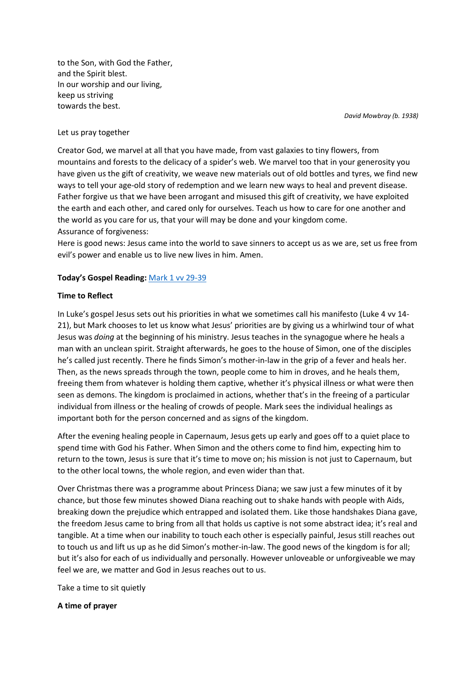to the Son, with God the Father, and the Spirit blest. In our worship and our living, keep us striving towards the best.

*David Mowbray (b. 1938)*

#### Let us pray together

Creator God, we marvel at all that you have made, from vast galaxies to tiny flowers, from mountains and forests to the delicacy of a spider's web. We marvel too that in your generosity you have given us the gift of creativity, we weave new materials out of old bottles and tyres, we find new ways to tell your age-old story of redemption and we learn new ways to heal and prevent disease. Father forgive us that we have been arrogant and misused this gift of creativity, we have exploited the earth and each other, and cared only for ourselves. Teach us how to care for one another and the world as you care for us, that your will may be done and your kingdom come. Assurance of forgiveness:

Here is good news: Jesus came into the world to save sinners to accept us as we are, set us free from evil's power and enable us to live new lives in him. Amen.

### **Today's Gospel Reading:** [Mark 1 vv 29-39](https://www.biblegateway.com/passage/?search=Mark+1%3A+29-39&version=NIV)

### **Time to Reflect**

In Luke's gospel Jesus sets out his priorities in what we sometimes call his manifesto (Luke 4 vv 14- 21), but Mark chooses to let us know what Jesus' priorities are by giving us a whirlwind tour of what Jesus was *doing* at the beginning of his ministry. Jesus teaches in the synagogue where he heals a man with an unclean spirit. Straight afterwards, he goes to the house of Simon, one of the disciples he's called just recently. There he finds Simon's mother-in-law in the grip of a fever and heals her. Then, as the news spreads through the town, people come to him in droves, and he heals them, freeing them from whatever is holding them captive, whether it's physical illness or what were then seen as demons. The kingdom is proclaimed in actions, whether that's in the freeing of a particular individual from illness or the healing of crowds of people. Mark sees the individual healings as important both for the person concerned and as signs of the kingdom.

After the evening healing people in Capernaum, Jesus gets up early and goes off to a quiet place to spend time with God his Father. When Simon and the others come to find him, expecting him to return to the town, Jesus is sure that it's time to move on; his mission is not just to Capernaum, but to the other local towns, the whole region, and even wider than that.

Over Christmas there was a programme about Princess Diana; we saw just a few minutes of it by chance, but those few minutes showed Diana reaching out to shake hands with people with Aids, breaking down the prejudice which entrapped and isolated them. Like those handshakes Diana gave, the freedom Jesus came to bring from all that holds us captive is not some abstract idea; it's real and tangible. At a time when our inability to touch each other is especially painful, Jesus still reaches out to touch us and lift us up as he did Simon's mother-in-law. The good news of the kingdom is for all; but it's also for each of us individually and personally. However unloveable or unforgiveable we may feel we are, we matter and God in Jesus reaches out to us.

Take a time to sit quietly

# **A time of prayer**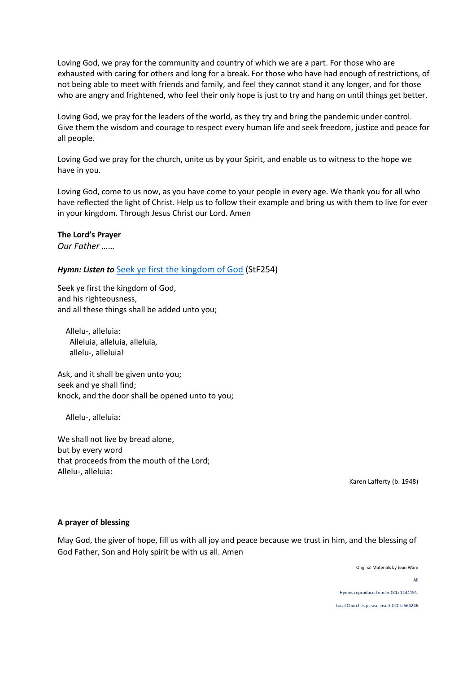Loving God, we pray for the community and country of which we are a part. For those who are exhausted with caring for others and long for a break. For those who have had enough of restrictions, of not being able to meet with friends and family, and feel they cannot stand it any longer, and for those who are angry and frightened, who feel their only hope is just to try and hang on until things get better.

Loving God, we pray for the leaders of the world, as they try and bring the pandemic under control. Give them the wisdom and courage to respect every human life and seek freedom, justice and peace for all people.

Loving God we pray for the church, unite us by your Spirit, and enable us to witness to the hope we have in you.

Loving God, come to us now, as you have come to your people in every age. We thank you for all who have reflected the light of Christ. Help us to follow their example and bring us with them to live for ever in your kingdom. Through Jesus Christ our Lord. Amen

# **The Lord's Prayer**

*Our Father ……*

# *Hymn: Listen to* [Seek ye first the kingdom of God](https://youtu.be/4C-flDs33Dg) (StF254)

Seek ye first the kingdom of God, and his righteousness, and all these things shall be added unto you;

 Allelu-, alleluia: Alleluia, alleluia, alleluia, allelu-, alleluia!

Ask, and it shall be given unto you; seek and ye shall find; knock, and the door shall be opened unto to you;

Allelu-, alleluia:

We shall not live by bread alone, but by every word that proceeds from the mouth of the Lord; Allelu-, alleluia:

Karen Lafferty (b. 1948)

#### **A prayer of blessing**

May God, the giver of hope, fill us with all joy and peace because we trust in him, and the blessing of God Father, Son and Holy spirit be with us all. Amen

Original Materials by Jean Ware

All

Hymns reproduced under CCLi 1144191.

Local Churches please insert CCCLi 564246